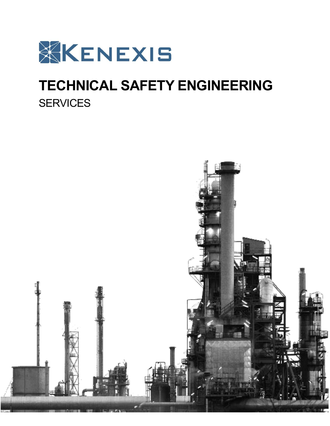

# **TECHNICAL SAFETY ENGINEERING SERVICES**

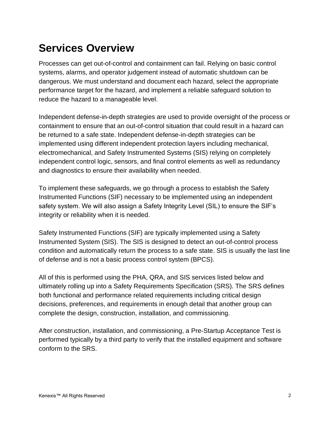### **Services Overview**

Processes can get out-of-control and containment can fail. Relying on basic control systems, alarms, and operator judgement instead of automatic shutdown can be dangerous. We must understand and document each hazard, select the appropriate performance target for the hazard, and implement a reliable safeguard solution to reduce the hazard to a manageable level.

Independent defense-in-depth strategies are used to provide oversight of the process or containment to ensure that an out-of-control situation that could result in a hazard can be returned to a safe state. Independent defense-in-depth strategies can be implemented using different independent protection layers including mechanical, electromechanical, and Safety Instrumented Systems (SIS) relying on completely independent control logic, sensors, and final control elements as well as redundancy and diagnostics to ensure their availability when needed.

To implement these safeguards, we go through a process to establish the Safety Instrumented Functions (SIF) necessary to be implemented using an independent safety system. We will also assign a Safety Integrity Level (SIL) to ensure the SIF's integrity or reliability when it is needed.

Safety Instrumented Functions (SIF) are typically implemented using a Safety Instrumented System (SIS). The SIS is designed to detect an out-of-control process condition and automatically return the process to a safe state. SIS is usually the last line of defense and is not a basic process control system (BPCS).

All of this is performed using the PHA, QRA, and SIS services listed below and ultimately rolling up into a Safety Requirements Specification (SRS). The SRS defines both functional and performance related requirements including critical design decisions, preferences, and requirements in enough detail that another group can complete the design, construction, installation, and commissioning.

After construction, installation, and commissioning, a Pre-Startup Acceptance Test is performed typically by a third party to verify that the installed equipment and software conform to the SRS.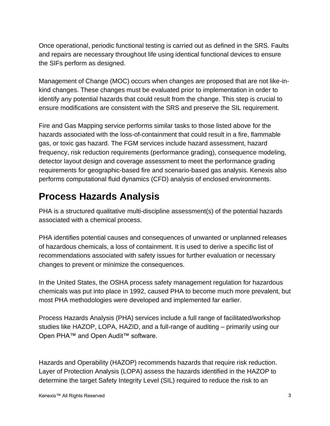Once operational, periodic functional testing is carried out as defined in the SRS. Faults and repairs are necessary throughout life using identical functional devices to ensure the SIFs perform as designed.

Management of Change (MOC) occurs when changes are proposed that are not like-inkind changes. These changes must be evaluated prior to implementation in order to identify any potential hazards that could result from the change. This step is crucial to ensure modifications are consistent with the SRS and preserve the SIL requirement.

Fire and Gas Mapping service performs similar tasks to those listed above for the hazards associated with the loss-of-containment that could result in a fire, flammable gas, or toxic gas hazard. The FGM services include hazard assessment, hazard frequency, risk reduction requirements (performance grading), consequence modeling, detector layout design and coverage assessment to meet the performance grading requirements for geographic-based fire and scenario-based gas analysis. Kenexis also performs computational fluid dynamics (CFD) analysis of enclosed environments.

#### **Process Hazards Analysis**

PHA is a structured qualitative multi-discipline assessment(s) of the potential hazards associated with a chemical process.

PHA identifies potential causes and consequences of unwanted or unplanned releases of hazardous chemicals, a loss of containment. It is used to derive a specific list of recommendations associated with safety issues for further evaluation or necessary changes to prevent or minimize the consequences.

In the United States, the OSHA process safety management regulation for hazardous chemicals was put into place in 1992, caused PHA to become much more prevalent, but most PHA methodologies were developed and implemented far earlier.

Process Hazards Analysis (PHA) services include a full range of facilitated/workshop studies like HAZOP, LOPA, HAZID, and a full-range of auditing – primarily using our Open PHA™ and Open Audit™ software.

Hazards and Operability (HAZOP) recommends hazards that require risk reduction. Layer of Protection Analysis (LOPA) assess the hazards identified in the HAZOP to determine the target Safety Integrity Level (SIL) required to reduce the risk to an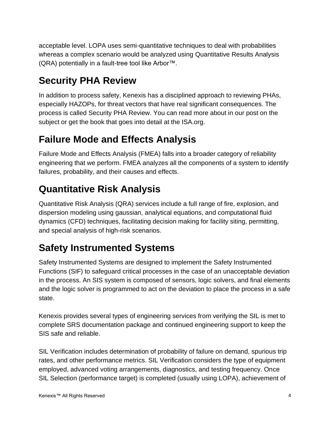acceptable level. LOPA uses semi-quantitative techniques to deal with probabilities whereas a complex scenario would be analyzed using Quantitative Results Analysis (QRA) potentially in a fault-tree tool like Arbor™.

#### **Security PHA Review**

In addition to process safety, Kenexis has a disciplined approach to reviewing PHAs, especially HAZOPs, for threat vectors that have real significant consequences. The process is called Security PHA Review. You can read more about in our post on the subject or get the book that goes into detail at the ISA.org.

#### **Failure Mode and Effects Analysis**

Failure Mode and Effects Analysis (FMEA) falls into a broader category of reliability engineering that we perform. FMEA analyzes all the components of a system to identify failures, probability, and their causes and effects.

#### **Quantitative Risk Analysis**

Quantitative Risk Analysis (QRA) services include a full range of fire, explosion, and dispersion modeling using gaussian, analytical equations, and computational fluid dynamics (CFD) techniques, facilitating decision making for facility siting, permitting, and special analysis of high-risk scenarios.

#### **Safety Instrumented Systems**

Safety Instrumented Systems are designed to implement the Safety Instrumented Functions (SIF) to safeguard critical processes in the case of an unacceptable deviation in the process. An SIS system is composed of sensors, logic solvers, and final elements and the logic solver is programmed to act on the deviation to place the process in a safe state.

Kenexis provides several types of engineering services from verifying the SIL is met to complete SRS documentation package and continued engineering support to keep the SIS safe and reliable.

SIL Verification includes determination of probability of failure on demand, spurious trip rates, and other performance metrics. SIL Verification considers the type of equipment employed, advanced voting arrangements, diagnostics, and testing frequency. Once SIL Selection (performance target) is completed (usually using LOPA), achievement of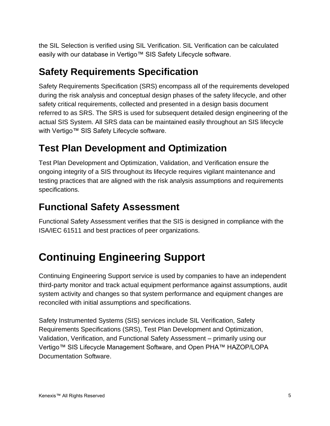the SIL Selection is verified using SIL Verification. SIL Verification can be calculated easily with our database in Vertigo™ SIS Safety Lifecycle software.

#### **Safety Requirements Specification**

Safety Requirements Specification (SRS) encompass all of the requirements developed during the risk analysis and conceptual design phases of the safety lifecycle, and other safety critical requirements, collected and presented in a design basis document referred to as SRS. The SRS is used for subsequent detailed design engineering of the actual SIS System. All SRS data can be maintained easily throughout an SIS lifecycle with Vertigo™ SIS Safety Lifecycle software.

#### **Test Plan Development and Optimization**

Test Plan Development and Optimization, Validation, and Verification ensure the ongoing integrity of a SIS throughout its lifecycle requires vigilant maintenance and testing practices that are aligned with the risk analysis assumptions and requirements specifications.

#### **Functional Safety Assessment**

Functional Safety Assessment verifies that the SIS is designed in compliance with the ISA/IEC 61511 and best practices of peer organizations.

## **Continuing Engineering Support**

Continuing Engineering Support service is used by companies to have an independent third-party monitor and track actual equipment performance against assumptions, audit system activity and changes so that system performance and equipment changes are reconciled with initial assumptions and specifications.

Safety Instrumented Systems (SIS) services include SIL Verification, Safety Requirements Specifications (SRS), Test Plan Development and Optimization, Validation, Verification, and Functional Safety Assessment – primarily using our Vertigo™ SIS Lifecycle Management Software, and Open PHA™ HAZOP/LOPA Documentation Software.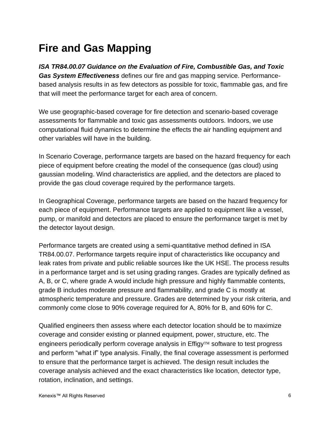### **Fire and Gas Mapping**

*ISA TR84.00.07 Guidance on the Evaluation of Fire, Combustible Gas, and Toxic Gas System Effectiveness* defines our fire and gas mapping service. Performancebased analysis results in as few detectors as possible for toxic, flammable gas, and fire that will meet the performance target for each area of concern.

We use geographic-based coverage for fire detection and scenario-based coverage assessments for flammable and toxic gas assessments outdoors. Indoors, we use computational fluid dynamics to determine the effects the air handling equipment and other variables will have in the building.

In Scenario Coverage, performance targets are based on the hazard frequency for each piece of equipment before creating the model of the consequence (gas cloud) using gaussian modeling. Wind characteristics are applied, and the detectors are placed to provide the gas cloud coverage required by the performance targets.

In Geographical Coverage, performance targets are based on the hazard frequency for each piece of equipment. Performance targets are applied to equipment like a vessel, pump, or manifold and detectors are placed to ensure the performance target is met by the detector layout design.

Performance targets are created using a semi-quantitative method defined in ISA TR84.00.07. Performance targets require input of characteristics like occupancy and leak rates from private and public reliable sources like the UK HSE. The process results in a performance target and is set using grading ranges. Grades are typically defined as A, B, or C, where grade A would include high pressure and highly flammable contents, grade B includes moderate pressure and flammability, and grade C is mostly at atmospheric temperature and pressure. Grades are determined by your risk criteria, and commonly come close to 90% coverage required for A, 80% for B, and 60% for C.

Qualified engineers then assess where each detector location should be to maximize coverage and consider existing or planned equipment, power, structure, etc. The engineers periodically perform coverage analysis in  $Effigy^{TM}$  software to test progress and perform "what if" type analysis. Finally, the final coverage assessment is performed to ensure that the performance target is achieved. The design result includes the coverage analysis achieved and the exact characteristics like location, detector type, rotation, inclination, and settings.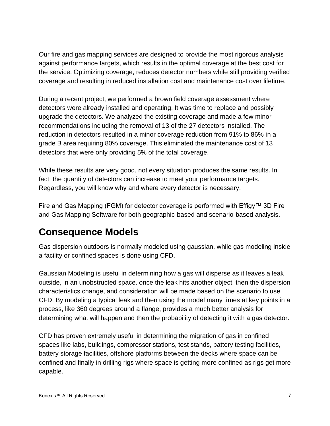Our fire and gas mapping services are designed to provide the most rigorous analysis against performance targets, which results in the optimal coverage at the best cost for the service. Optimizing coverage, reduces detector numbers while still providing verified coverage and resulting in reduced installation cost and maintenance cost over lifetime.

During a recent project, we performed a brown field coverage assessment where detectors were already installed and operating. It was time to replace and possibly upgrade the detectors. We analyzed the existing coverage and made a few minor recommendations including the removal of 13 of the 27 detectors installed. The reduction in detectors resulted in a minor coverage reduction from 91% to 86% in a grade B area requiring 80% coverage. This eliminated the maintenance cost of 13 detectors that were only providing 5% of the total coverage.

While these results are very good, not every situation produces the same results. In fact, the quantity of detectors can increase to meet your performance targets. Regardless, you will know why and where every detector is necessary.

Fire and Gas Mapping (FGM) for detector coverage is performed with Effigy™ 3D Fire and Gas Mapping Software for both geographic-based and scenario-based analysis.

#### **Consequence Models**

Gas dispersion outdoors is normally modeled using gaussian, while gas modeling inside a facility or confined spaces is done using CFD.

Gaussian Modeling is useful in determining how a gas will disperse as it leaves a leak outside, in an unobstructed space. once the leak hits another object, then the dispersion characteristics change, and consideration will be made based on the scenario to use CFD. By modeling a typical leak and then using the model many times at key points in a process, like 360 degrees around a flange, provides a much better analysis for determining what will happen and then the probability of detecting it with a gas detector.

CFD has proven extremely useful in determining the migration of gas in confined spaces like labs, buildings, compressor stations, test stands, battery testing facilities, battery storage facilities, offshore platforms between the decks where space can be confined and finally in drilling rigs where space is getting more confined as rigs get more capable.